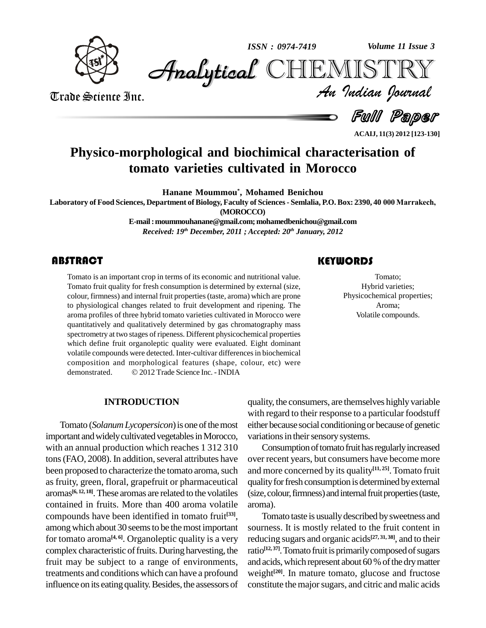

*Volume 11 Issue 3*



Trade Science Inc. Trade Science Inc.

*Volume 11 Issue 3*<br>IISTRY<br>Indian Iournal

Full Paper

**ACAIJ, 11(3) 2012 [123-130]**

# **Physico-morphological and biochimical characterisation of tomato varieties cultivated in Morocco**

**Hanane Moummou \* , Mohamed Benichou**

Laboratory of Food Sciences, Department of Biology, Faculty of Sciences - Semlalia, P.O. Box: 2390, 40 000 Marrakech, **(MOROCCO)**

> **E-mail:[moummouhanane@gmail.com;moha](mailto:moummouhanane@gmail.com;)[medbenichou@gmail.com](mailto:mohamedbenichou@gmail.com)** *Received: 19 th December, 2011 ; Accepted: 20 th January, 2012*

Tomato is an important crop in terms of its economic and nutritional value.<br>Tomato fruit quality for fresh consumption is determined by external (size, colour, firmness) and internal fruit properties (taste, aroma) which a Tomato is an important crop in terms of its economic and nutritional value. Tomato fruit quality for fresh consumption is determined by external (size, to physiological changes related to fruit development and ripening. The aroma profiles of three hybrid tomato varieties cultivated in Morocco were quantitatively and qualitatively determined by gas chromatography mass spectrometry at two stages of ripeness. Different physicochemical properties which define fruit organoleptic quality were evaluated. Eight dominant volatile compounds were detected. Inter-cultivar differencesin biochemical composition and morphological features (shape, colour, etc) were volatile compounds were detected. Inter-cultivar differences in bioche<br>composition and morphological features (shape, colour, etc)<br>demonstrated. © 2012 Trade Science Inc. - INDIA

### **KEYWORDS**

Tomato;<br>
Hybrid varieties;<br>
Physicochemical properties; Tomato; Hybrid varieties; Aroma; Volatile compounds.

#### **INTRODUCTION**

Tomato (*Solanum Lycopersicon*) is one of the most important and widely cultivated vegetables in Morocco, with an annual production which reaches 1 312 310 tons (FAO, 2008). In addition, several attributes have been proposed to characterize the tomato aroma, such as fruity, green, floral, grapefruit or pharmaceutical aromas **[6, 12, 18]**.These aromas are related to the volatiles contained in fruits. More than 400 aroma volatile compounds have been identified in tomato fruit **[33]**, among which about 30 seems to be the most important for tomato aroma<sup>[4,6]</sup>. Organoleptic quality is a very reducin complex characteristic of fruits. During harvesting, the fruit may be subject to a range of environments, treatments and conditions which can have a profound influence on its eating quality. Besides, the assessors of

quality, the consumers, are themselves highlyvariable with regard to their response to a particular foodstuff either because social conditioningor becauseof genetic variations in their sensory systems.

Consumption of tomato fruit has regularly increased over recent years, but consumers have become more and more concerned by its quality **[11, 25]**.Tomato fruit quality for fresh consumption is determined by external (size, colour, firmness) and internal fruit properties (taste, aroma).

Tomato taste is usually described by sweetness and sourness. It is mostly related to the fruit content in reducing sugars and organic acids **[27, 31, 38]**, and to their ratio<sup>[12,37]</sup>. Tomato fruit is primarily composed of sugars and acids, which represent about 60 % of the dry matter weight **[20]**. In mature tomato, glucose and fructose constitute themajorsugars, and citric and malic acids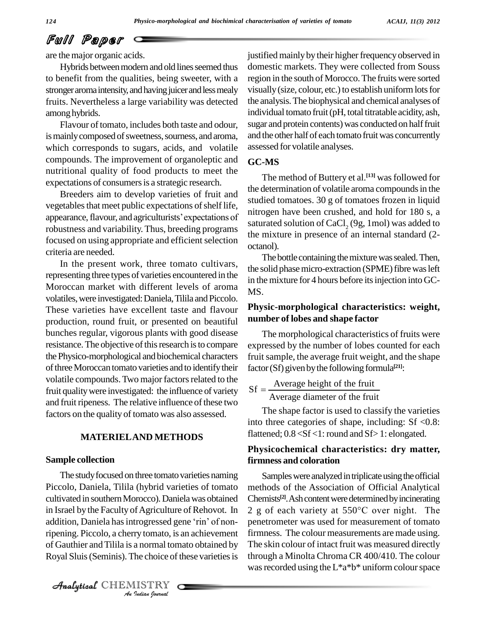# Full Paper

are the major organic acids.

Hybrids between modern and old lines seemed thus to benefit from the qualities, being sweeter, with a stronger aroma intensity, and having juicer and less mealy fruits. Nevertheless a large variability was detected among hybrids.

Flavour of tomato, includes both taste and odour, is mainly composed of sweetness, sourness, and aroma, which corresponds to sugars, acids, and volatile compounds. The improvement of organoleptic and nutritional quality of food products to meet the expectations of consumers is a strategic research.

Breeders aim to develop varieties of fruit and vegetables that meet public expectations of shelf life, appearance, flavour, and agriculturists' expectations of robustness and variability. Thus, breeding programs focused on using appropriate and efficient selection criteria are needed.

In the present work, three tomato cultivars, representing three types of varieties encountered in the Moroccan market with different levels of aroma volatiles, were investigated: Daniela, Tilila and Piccolo. These varieties have excellent taste and flavour production, round fruit, or presented on beautiful bunches regular, vigorous plants with good disease resistance. The objective of this research is to compare thePhysico-morphological and biochemical characters of three Moroccan tomato varieties and to identify their volatile compounds. Two major factors related to the fruit quality were investigated: the influence of variety and fruit ripeness. The relative influence of these two factors on the quality of tomato was also assessed.

#### **MATERIELAND METHODS**

#### **Sample collection**

*Analytical Randa Ranalyticssed gene Tim GTROM* per *Indian*<br>*Institution*<br>*Indian bournal*<br>*I*ndian bournal The study focused on three tomato varieties naming Piccolo, Daniela, Tilila (hybrid varieties of tomato cultivated in southernMorocco).Danielawas obtained in Israel by the Faculty of Agriculture of Rehovot. In  $2g$  of cultivated in southern Morocco). Daniela was obtained<br>in Israel by the Faculty of Agriculture of Rehovot. In<br>addition, Daniela has introgressed gene 'rin' of nonof Gauthier and Tilila is a normal tomato obtained by Royal Sluis (Seminis). The choice of these varieties is

CHEMISTRY

justified mainly by their higher frequency observed in domestic markets. They were collected from Souss region in the south of Morocco. The fruits were sorted visually (size, colour, etc.) to establish uniform lots for the analysis.The biophysical and chemical analyses of individual tomato fruit(pH, total titratable acidity, ash, sugar and protein contents) was conducted on half fruit and the other half of each tomato fruit was concurrently assessed for volatile analyses.

#### **GC-MS**

The method of Buttery et al. **[13]** wasfollowed for the determination of volatile aroma compounds in the studied tomatoes. 30 g of tomatoes frozen in liquid nitrogen have been crushed, and hold for 180 s, a saturated solution of CaCl<sub>2</sub> (9g, 1mol) was added to the mixture in presence of an internal standard (2 octanol).

The bottle containing the mixture was sealed. Then, the solid phase micro-extraction (SPME) fibre was left in the mixture for 4 hours before its injection into GC-MS.

#### **Physic-morphological characteristics: weight, number of lobes and shape factor**

The morphological characteristics of fruits were expressed by the number of lobes counted for each fruit sample, the average fruit weight, and the shape factor (Sf) given by the following formula<sup>[21]</sup>:

 $Sf = \frac{Average height of the fruit}{(1 - 2f + 1)}$ or (Sf) given by the following formula<sup>12</sup><br>=  $\frac{\text{Average height of the fruit}}{\text{Average diameter of the fruit}}$ 

The shape factor is used to classify the varieties into three categories of shape, including: Sf <0.8: flattened; 0.8 <Sf <1: round and Sf> 1: elongated.

#### **Physicochemical characteristics: dry matter, firmness and coloration**

Samples were analyzed in triplicate using the official methods of the Association of Official Analytical Chemists<sup>[2]</sup>. Ash content were determined by incinerating <sup>2</sup> <sup>g</sup> of each variety at <sup>550</sup>°C over night. The penetrometer was used for measurement of tomato firmness. The colour measurements are made using. The skin colour of intact fruit was measured directly through a Minolta Chroma CR 400/410. The colour was recorded using the  $L^*a^*b^*$  uniform colour space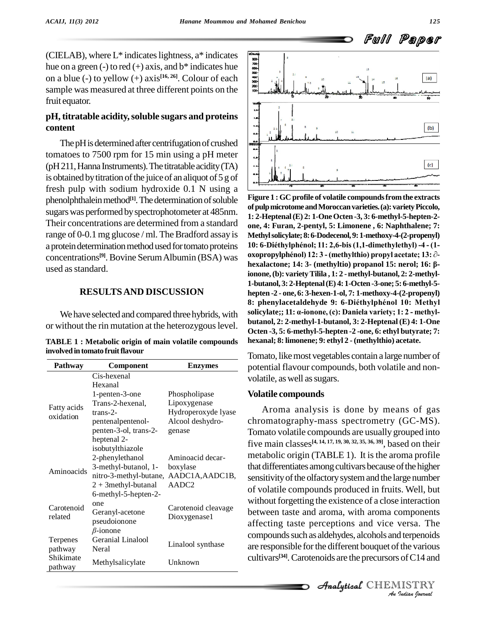(CIELAB), where L\* indicates lightness, a\* indicates<br>hue on a green (-) to red (+) axis, and b\* indicates hue<br>on a blue (-) to yellow (+) axis<sup>[16, 26]</sup>. Colour of each hue on a green (-) to red (+) axis, and  $b^*$  indicates hue on a blue (-) to yellow (+) axis **[16, 26]**. Colour of each sample was measured at three different points on the fruit equator.

#### **pH, titratable acidity,soluble sugars and proteins content**

The pH is determined after centrifugation of crushed tomatoes to 7500 rpm for 15 min using a pH meter  $(pH211, Hanna Instruments)$ . The titratable acidity (TA) is obtained by titration of the juice of an aliquot of  $5 g$  of fresh pulp with sodium hydroxide 0.1 N using a phenolphthalein method<sup>[1]</sup>. The determination of soluble **Figure** sugars was performed by spectrophotometer at 485nm. Their concentrations are determined from a standard range of 0-0.1 mg glucose / ml. The Bradford assay is a protein determination method used for tomato proteins  $10: 6$ -Diéthylphénol; 11: 2,6-bis (1,1-dimethylethyl) -4 - (1-<br>concentrations<sup>[9]</sup>. Bovine Serum Albumin (BSA) was **oxopropylphénol**) 12: 3 - (methylthio) propyl ac concentrations<sup>[9]</sup>. Bovine Serum Albumin (BSA) was oxopin used as standard.

#### **RESULTSAND DISCUSSION**

or without the rin mutation at the heterozygouslevel.

**TABLE 1 : Metabolic origin of main volatile compounds involvedintomato fruitflavour**

| Pathway                  | Component              | <b>Enzymes</b>      |  |  |
|--------------------------|------------------------|---------------------|--|--|
| Fatty acids<br>oxidation | Cis-hexenal<br>Hexanal |                     |  |  |
|                          | 1-penten-3-one         | Phospholipase       |  |  |
|                          | Trans-2-hexenal,       | Lipoxygenase        |  |  |
|                          | $trans-2-$             | Hydroperoxyde lyase |  |  |
|                          | pentenalpentenol-      | Alcool deshydro-    |  |  |
|                          | penten-3-ol, trans-2-  | genase              |  |  |
|                          | heptenal 2-            |                     |  |  |
|                          | isobutylthiazole       |                     |  |  |
| Aminoacids               | 2-phenylethanol        | Aminoacid decar-    |  |  |
|                          | 3-methyl-butanol, 1-   | boxylase            |  |  |
|                          | nitro-3-methyl-butane, | AADC1A, AADC1B,     |  |  |
|                          | $2 + 3$ methyl-butanal | AADC2               |  |  |
|                          | 6-methyl-5-hepten-2-   |                     |  |  |
| Carotenoid<br>related    | one                    | Carotenoid cleavage |  |  |
|                          | Geranyl-acetone        | Dioxygenase1        |  |  |
|                          | pseudoionone           |                     |  |  |
|                          | $\beta$ -ionone        |                     |  |  |
| Terpenes                 | Geranial Linalool      | Linalool synthase   |  |  |
| pathway<br>Shikimate     | Neral                  |                     |  |  |
| pathway                  | Methylsalicylate       | Unknown             |  |  |



We have selected and compared three hybrids, with solicylate;; 11:  $\alpha$ -ionone, (c): Daniela variety; 1: 2 - methyl-**Figure 1 :GC profile of volatile compoundsfromthe extracts ofpulpmicrotomeandMoroccanvarieties.(a):varietyPiccolo, 1: 2-Heptenal(E) 2: 1-OneOcten -3, 3: 6-methyl-5-hepten-2** one, 4: Furan, 2-pentyl, 5: Limonene , 6: Naphthalene; 7:<br>Methyl solicylate; 8: 6-Dodecenol, 9: 1-methoxy-4-(2-propenyl)<br>10: 6-Diéthylphénol; 11: 2,6-bis (1,1-dimethylethyl) -4 - (1-Methyl solicylate; 8: 6-Dodecenol, 9: 1-methoxy-4-(2-propenyl)<br>10: 6-Diéthylphénol; 11: 2,6-bis (1,1-dimethylethyl) -4 - (1-<br>oxopropylphénol) 12: 3 - (methylthio) propyl acetate; 13: ∂**hexalactone; 14: 3- (methyltio) propanol 15: nerol; 16: ' ionone,(b): varietyTilila , 1: 2 -methyl-butanol, 2: 2-methyl- 1-butanol, 3: 2-Heptenal(E) 4: 1-Octen-3-one; 5: 6-methyl-5 hepten -2 - one, 6: 3-hexen-1-ol, 7: 1-methoxy-4-(2-propenyl)** 1-butanol, 3: 2-Heptenal (E) 4: 1-Octen -3-one; 5: 6-methyl-5-<br>hepten -2 - one, 6: 3-hexen-1-ol, 7: 1-methoxy-4-(2-propenyl)<br>8: phenylacetaldehyde 9: 6-Diéthylphénol 10: Methyl hepten -2 - one, 6: 3-hexen-1-ol, 7: 1-methoxy-4-(2-propenyl)<br>8: phenylacetaldehyde 9: 6-Diéthylphénol 10: Methyl<br>solicylate;; 11: a-ionone, (c): Daniela variety; 1: 2 - methyl**butanol, 2: 2-methyl-1-butanol, 3: 2-Heptenal (E) 4: 1-One Octen -3, 5: 6-methyl-5-hepten -2 -one, 6: ethyl butyrate; 7: hexanal; 8: limonene; 9: ethyl 2 - (methylthio) acetate.**

Tomato, like most vegetables contain a large number of potential flavour compounds, both volatile and non volatile, as well as sugars.

#### **Volatile compounds**

*An*affecting taste perceptions and vice versa. The *Indian*<br>*I* the various<br>*I* of C14 and<br>*IISTRY*<br>*Indian bournal*  $\epsilon$  compounds such as aldehydes, alcohols and terpenoids Aroma analysis is done by means of gas chromatography-mass spectrometry (GC-MS). Tomato volatile compounds are usually grouped into five main classes **[4, 14, 17, 19, 30, 32, 35, 36, 39]**, based on their metabolic origin (TABLE 1). It is the aroma profile that differentiates among cultivars because of the higher sensitivity of the olfactory system and the large number of volatile compounds produced in fruits. Well, but without forgetting the existence of a close interaction between taste and aroma, with aroma components are responsible for the different bouquet of the various cultivars **[34]**.Carotenoids are the precursors ofC14 and

CHEMISTRY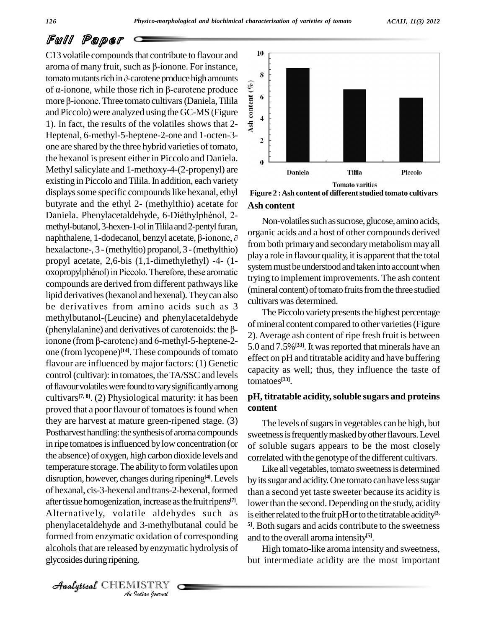# Full Paper

phenylacetaldehyde and 3-methylbutanal could be <sup>51</sup>. Bot phenylacetalenyde and 3-methyloutanal could be<br> *Indian*<br> *Indian*<br> *Indian*<br> *Indian*<br> *Indian Operation*<br> *Analytical* CHEMISTRY<br> *Analytical* CHEMISTRY C13 volatile compounds that contribute to flavour and  $10$ **PUII Paper**<br>C13 volatile compounds that contribute to flavour and<br>aroma of many fruit, such as  $\beta$ -ionone. For instance, C13 volatile compounds that contribute to flavour and<br>aroma of many fruit, such as  $\beta$ -ionone. For instance,<br>tomato mutants rich in  $\partial$ -carotene produce high amounts<br>of  $\alpha$ -ionone, while those rich in  $\beta$ -carotene pro aroma of many fruit, such as  $\beta$ -ionone. For instance,<br>tomato mutants rich in  $\partial$ -carotene produce high amounts<br>of  $\alpha$ -ionone, while those rich in  $\beta$ -carotene produce tomato mutants rich in  $\partial$ -carotene produce high amounts<br>of  $\alpha$ -ionone, while those rich in  $\beta$ -carotene produce<br>more  $\beta$ -ionone. Three tomato cultivars (Daniela, Tilila and Piccolo) were analyzed using the GC-MS (Figure  $\frac{5}{5}$  4 1). In fact, the results of the volatiles shows that 2- Heptenal, 6-methyl-5-heptene-2-one and 1-octen-3one are shared by the three hybrid varieties of tomato, the hexanol is present either in Piccolo and Daniela. Methyl salicylate and 1-methoxy-4-(2-propenyl) are existing in Piccolo and Tilila. In addition, each variety displays some specific compounds like hexanal, ethyl<br>
butyrate and the ethyl 2- (methylthio) acetate for Ast<br>
Daniela. Phenylacetaldehyde, 6-Diéthylphénol, 2butyrate and the ethyl 2- (methylthio) acetate for methyl-butanol, 3-hexen-1-ol in Tilila and 2-pentyl furan, Daniela. Phenylacetaldehyde, 6-Diéthylphénol, 2-<br>methyl-butanol, 3-hexen-1-ol in Tilila and 2-pentyl furan,<br>naphthalene, 1-dodecanol, benzyl acetate,  $\beta$ -ionone,  $\partial$ hexalactone-, 3 -(methyltio) propanol, 3 -(methylthio) propyl acetate, 2,6-bis (1,1-dimethylethyl) -4- (1 oxopropylphénol) in Piccolo. Therefore, these aromatic compounds are derived from different pathways like lipid derivatives(hexanol and hexenal).Theycan also be derivatives from amino acids such as 3 methylbutanol-(Leucine) and phenylacetaldehyde be derivatives from amino acids such as 3<br>methylbutanol-(Leucine) and phenylacetaldehyde<br>(phenylalanine) and derivatives of carotenoids: the  $\beta$ methylbutanol-(Leucine) and phenylacetaldehyde<br>
(phenylalanine) and derivatives of carotenoids: the  $\beta$ -<br>
ionone (from  $\beta$ -carotene) and 6-methyl-5-heptene-2one (from lycopene) **[14]**. These compounds of tomato flavour are influenced by major factors: (1) Genetic control (cultivar): in tomatoes, the TA/SSC and levels of flavour volatiles were found to vary significantly among cultivars **[7, 8]**. (2) Physiological maturity: it has been proved that a poor flavour of tomatoes is found when they are harvest at mature green-ripened stage. (3) Postharvest handling: the synthesis of aroma compounds in ripe tomatoes is influenced by low concentration (or the absence) of oxygen, high carbon dioxide levels and temperature storage. The ability to form volatiles upon disruption, however, changes during ripening<sup>[4]</sup>. Levels by its of hexanal, cis-3-hexenal and trans-2-hexenal, formed after tissue homogenization, increase as the fruit ripens $[7]$ . Alternatively, volatile aldehydes such as alcohols that are released by enzymatic hydrolysis of glycosides during ripening.



**Ash content Figure 2 :Ash content of differentstudied tomato cultivars**

Non-volatiles such as sucrose, glucose, amino acids, organic acids and a host of other compounds derived from both primary and secondary metabolism may all play a role in flavour quality, it is apparent that the total system must be understood and taken into account when trying to implement improvements. The ash content (mineral content) of tomato fruits from the three studied cultivars was determined.

The Piccolo variety presents the highest percentage of mineral content compared to other varieties (Figure 2).Average ash content of ripe fresh fruit is between 5.0 and 7.5%<sup>[33]</sup>. It was reported that minerals have an effect on pH and titratable acidity and have buffering capacity as well; thus, they influence the taste of tomatoes **[33]**.

#### **pH, titratable acidity,soluble sugars and proteins content**

The levels of sugars in vegetables can be high, but sweetness is frequently masked by other flavours. Level of soluble sugars appears to be the most closely correlated with the genotype of the different cultivars.

**[7]**. lowerthan the second. Depending on the study, acidity Like all vegetables, tomato sweetness is determined by its sugar and acidity. One tomato can have less sugar than a second yet taste sweeter because its acidity is is either related to the fruit pH or to the titratable acidity<sup>13,</sup> **5]**. Both sugars and acids contribute to the sweetness and to the overall aroma intensity **[5]**.

High tomato-like aroma intensity and sweetness, but intermediate acidity are the most important

 $\mathcal{A}$ nalytical  $\mathbb{CHEMISTRY}$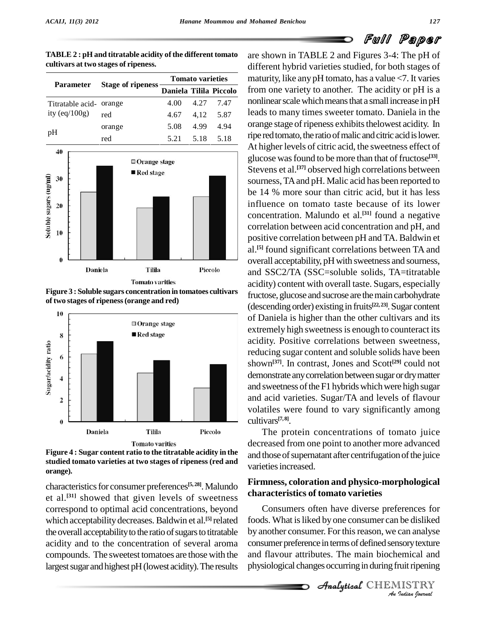|                         | <b>Stage of ripeness</b> | <b>Tomato varieties</b> |      |      |
|-------------------------|--------------------------|-------------------------|------|------|
| <b>Parameter</b>        |                          | Daniela Tilila Piccolo  |      |      |
| Titratable acid- orange |                          | 4.00                    | 4.27 | 7.47 |
| ity (eq/ $100g$ )       | red                      | 4.67                    | 4.12 | 5.87 |
| nH                      | orange                   | 5.08                    | 4.99 | 4.94 |





**Figure 3 : Soluble sugars concentration in tomatoes cultivars of two stages of ripeness(orange and red)**



**Figure 4 : Sugar content ratio to the titratable acidity in the studied tomato varieties at two stages of ripeness (red and orange).**

characteristics for consumer preferences<sup>[5, 28]</sup>. Malundo et al.<sup>[31]</sup> showed that given levels of sweetness charcorrespond to optimal acid concentrations, beyond which acceptability decreases. Baldwin et al.<sup>[5]</sup> related foods. the overall acceptability to the ratio of sugars to titratable acidity and to the concentration of several aroma compounds. The sweetest tomatoes are those with the largest sugar and highest pH (lowest acidity). The results

are shown in TABLE 2 and Figures 3-4: The pH of different hybrid varieties studied, for both stages of maturity, like any pH tomato, has a value <7. It varies **Daniela Tilila Piccolo** from one variety to another. The acidity or pH is a nonlinear scale which means that a small increase in pH leads to many times sweeter tomato. Daniela in the orange stage of ripeness exhibits thelowest acidity. In ripe red tomato, the ratio of malic and citric acid is lower. At higher levels of citric acid, the sweetness effect of glucose was found to be more than that of fructose<sup>[33]</sup>. Stevens et al. **[37]** observed high correlations between sourness,TAand pH. Malic acid has been reported to be 14 % more sour than citric acid, but it has less influence on tomato taste because of its lower concentration. Malundo et al. **[31]** found a negative correlation between acid concentration and pH, and positive correlation between pH and TA. Baldwin et al. **[5]** found significant correlations between TA and overall acceptability, pH with sweetness and sourness, and SSC2/TA (SSC=soluble solids, TA=titratable acidity) content with overall taste. Sugars, especially fructose, glucose and sucrose are the main carbohydrate (descending order) existing in fruits **[22, 23]**.Sugar content of Daniela is higher than the other cultivars and its extremely high sweetness is enough to counteract its acidity. Positive correlations between sweetness, reducing sugar content and soluble solids have been shown **[37]**. In contrast, Jones and Scott **[29]** could not demonstrate any correlation between sugar or dry matter and sweetness of the F1 hybrids which were high sugar and acid varieties. Sugar/TA and levels of flavour volatiles were found to vary significantly among cultivars **[7, 8]**.

> The protein concentrations of tomato juice decreased from one point to another more advanced and those of supernatant after centrifugation of the juice varieties increased.

#### **Firmness, coloration and physico-morphological characteristics of tomato varieties**

by another consumer. For this reason, we can analyse<br>
consumer preference in terms of defined sensory texture<br>
and flavour attributes. The main biochemical and<br>
physiological changes occurring in during fruit ripening<br> *An* Consumers often have diverse preferences for foods. What is liked by one consumer can be disliked consumer preference in terms of defined sensory texture and flavour attributes. The main biochemical and physiological changes occurring in during fruit ripening

**Analytical** CHEMISTRY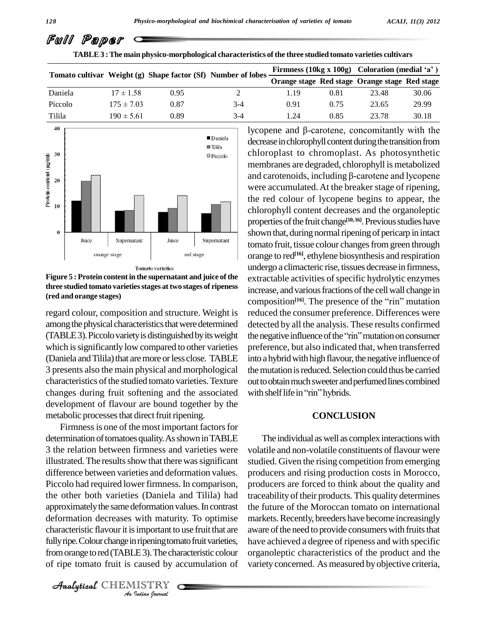Full Paper

| TABLE 3 : The main physico-morphological characteristics of the three studied tomato varieties cultivars |                |                                                              |       |      |      |                                                |       |  |  |
|----------------------------------------------------------------------------------------------------------|----------------|--------------------------------------------------------------|-------|------|------|------------------------------------------------|-------|--|--|
|                                                                                                          |                | Tomato cultivar Weight (g) Shape factor (Sf) Number of lobes |       |      |      | Firmness (10kg x 100g) Coloration (medial 'a') |       |  |  |
|                                                                                                          |                |                                                              |       |      |      | Orange stage Red stage Orange stage Red stage  |       |  |  |
| Daniela                                                                                                  | $17 \pm 1.58$  | 0.95                                                         |       | 1.19 | 0.81 | 23.48                                          | 30.06 |  |  |
| Piccolo                                                                                                  | $175 \pm 7.03$ | 0.87                                                         | $3-4$ | 0.91 | 0.75 | 23.65                                          | 29.99 |  |  |
| Tilila                                                                                                   | $190 \pm 5.61$ | 0.89                                                         | $3-4$ | 1.24 | 0.85 | 23.78                                          | 30.18 |  |  |



**Figure 5 : Protein contentin the supernatant and juice ofthe three studied tomato varietiesstages attwo stages of ripeness (red and orange stages)**

regard colour, composition and structure. Weight is among the physical characteristics that were determined which is significantly low compared to other varieties (Daniela and Tilila) that are more or less close. TABLE 3 presents also the main physical and morphological characteristics of the studied tomato varieties. Texture changes during fruit softening and the associated with shelf life in "rin" hybrids. development of flavour are bound together by the metabolic processes that direct fruit ripening.

characteristic flavour it is important to use fruit that are aware *I* important to<br>*I* injening tom<br>*L* 3). The cha<br>caused by a<br>*I ISTRY* Firmness is one of the most important factors for determination of tomatoes quality. As shown in TABLE 3 the relation between firmness and varieties were illustrated. The results show that there was significant difference between varieties and deformation values. Piccolo had required lower firmness. In comparison, the other both varieties (Daniela and Tilila) had approximatelythe samedeformation values.In contrast deformation decreases with maturity. To optimise fully ripe. Colour change in ripening tomato fruit varieties, from orange to red (TABLE 3). The characteristic colour of ripe tomato fruit is caused by accumulation of

CHEMISTRY

(TABLE 3). Piccolo variety is distinguished by its weight the negative influence of the "rin" mutation on consumer lycopene and  $\beta$ -carotene, concomitantly with the decrease in chlorophyll content during the transition from chloroplast to chromoplast. As photosynthetic membranes are degraded, chlorophyll is metabolized chloroplast to chromoplast. As photosynthetic<br>membranes are degraded, chlorophyll is metabolized<br>and carotenoids, including  $\beta$ -carotene and lycopene were accumulated.At the breaker stage of ripening, the red colour of lycopene begins to appear, the chlorophyll content decreases and the organoleptic properties of the fruit change<sup>[10, 16]</sup>. Previous studies have shown that, during normal ripening of pericarp in intact tomato fruit, tissue colour changes from green through orange to red **[16]**, ethylene biosynthesis and respiration undergo a climacteric rise, tissues decrease in firmness, extractable activities of specific hydrolytic enzymes<br>increase, and various fractions of the cell wall change in<br>composition<sup>[16]</sup>. The presence of the "rin" mutation increase, and various fractions of the cell wall change in composition<sup>[16]</sup>. The presence of the "rin" mutation reduced the consumer preference. Differences were detected by all the analysis. These results confirmed reduced the consumer preference. Differences were<br>detected by all the analysis. These results confirmed<br>the negative influence of the "rin" mutation on consumer preference, but also indicated that, when transferred into a hybrid with high flavour, the negative influence of the mutation is reduced. Selection could thus be carried out to obtain much sweeter and perfumed lines combined the mutation is reduced. Selection<br>out to obtain much sweeter and perfu<br>with shelf life in "rin" hybrids.

#### **CONCLUSION**

The individual as well as complex interactions with volatile and non-volatile constituents of flavour were studied. Given the rising competition from emerging producers and rising production costs in Morocco, producers are forced to think about the quality and traceability of their products. This quality determines the future of the Moroccan tomato on international markets. Recently, breeders have become increasingly aware of the need to provide consumers with fruits that have achieved a degree of ripeness and with specific organoleptic characteristics of the product and the variety concerned. As measured byobjective criteria,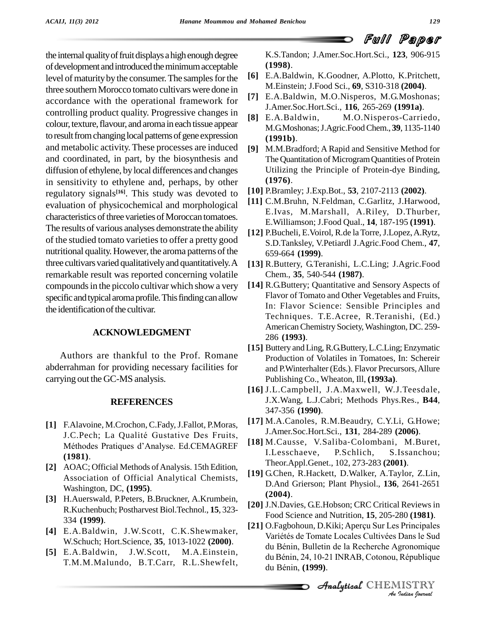the internal quality of fruit displays a high enough degree of development and introduced the minimum acceptable level of maturity by the consumer. The samples for the three southern Morocco tomato cultivars were done in accordance with the operational framework for controlling product quality. Progressive changes in [8] E.A.Baldwin, colour, texture, flavour, and aroma in each tissue appear to result from changing local patterns of gene expression and metabolic activity. These processes are induced and coordinated, in part, by the biosynthesis and diffusion of ethylene, bylocal differences and changes in sensitivity to ethylene and, perhaps, by other regulatory signals **[16]**. This study was devoted to evaluation of physicochemical and morphological characteristics of three varieties of Moroccan tomatoes. The results of various analyses demonstrate the ability of the studied tomato varieties to offer a pretty good nutritional quality. However, the aroma patterns of the three cultivars varied qualitatively and quantitatively. A remarkable result was reported concerning volatile compounds in the piccolo cultivar which show a very specific and typical aroma profile. This finding can allow the identification of the cultivar.

#### **ACKNOWLEDGMENT**

Authors are thankful to the Prof. Romane abderrahman for providing necessary facilities for carrying out the GC-MS analysis.

#### **REFERENCES**

- **[1]** F.Alavoine, M.Crochon, C.Fady,J.Fallot, P.Moras, J.C.Pech; La Qualité Gustative Des Fruits, Méthodes Pratiques d'Analyse. Ed.CEMAGREF **(1981)**.
- [2] AOAC; Official Methods of Analysis. 15th Edition, Association of Official Analytical Chemists, Washington, DC, **(1995)**.
- **[3]** H.Auerswald, P.Peters, B.Bruckner, A.Krumbein, R.Kuchenbuch; Postharvest Biol.Technol., **15**, 323- 334 **(1999)**.
- **[4]** E.A.Baldwin, J.W.Scott, C.K.Shewmaker, W.Schuch; Hort.Science, **35**, 1013-1022 **(2000)**.
- **[5]** E.A.Baldwin, J.W.Scott, M.A.Einstein, T.M.M.Malundo, B.T.Carr, R.L.Shewfelt,

K.S.Tandon; J.Amer.Soc.Hort.Sci., **123**, 906-915 **(1998)**.

- **[6]** E.A.Baldwin, K.Goodner, A.Plotto, K.Pritchett, M.Einstein; J.Food Sci., **69**, S310-318 **(2004)**.
- **[7]** E.A.Baldwin, M.O.Nisperos, M.G.Moshonas; J.Amer.Soc.Hort.Sci., **116**, 265-269 **(1991a)**.
- M.O.Nisperos-Carriedo, M.G.Moshonas;J.Agric.FoodChem., **39**, 1135-1140 **(1991b)**.
- **[9]** M.M.Bradford; A Rapid and Sensitive Method for The Quantitation of MicrogramQuantities of Protein Utilizing the Principle of Protein-dye Binding, **(1976)**.
- **[10]** P.Bramley; J.Exp.Bot., **53**, 2107-2113 **(2002)**.
- **[11]** C.M.Bruhn, N.Feldman, C.Garlitz, J.Harwood, E.Ivas, M.Marshall, A.Riley, D.Thurber, E.Williamson; J.Food Qual., **14**, 187-195 **(1991)**.
- **[12]** P.Bucheli, E.Voirol, R.de la Torre,J.Lopez,A.Rytz, S.D.Tanksley, V.Petiardl J.Agric.Food Chem., **47**, 659-664 **(1999)**.
- **[13]** R.Buttery, G.Teranishi, L.C.Ling; J.Agric.Food Chem., **35**, 540-544 **(1987)**.
- **[14]** R.G.Buttery; Quantitative and Sensory Aspects of Flavor of Tomato and Other Vegetables and Fruits, In: Flavor Science: Sensible Principles and Techniques. T.E.Acree, R.Teranishi, (Ed.) AmericanChemistry Society,Washington, DC. 259- 286 **(1993)**.
- [15] Buttery and Ling, R.G.Buttery, L.C.Ling; Enzymatic Production of Volatiles in Tomatoes, In: Schereir and P.Winterhalter (Eds.). Flavor Precursors,Allure Publishing Co.,Wheaton, Ill, **(1993a)**.
- **[16]** J.L.Campbell, J.A.Maxwell, W.J.Teesdale, J.X.Wang, L.J.Cabri; Methods Phys.Res., **B44**, 347-356 **(1990)**.
- **[17]** M.A.Canoles, R.M.Beaudry, C.Y.Li, G.Howe; J.Amer.Soc.Hort.Sci., **131**, 284-289 **(2006)**.
- **[18]** M.Causse, V.Saliba-Colombani, M.Buret, I.Lesschaeve, P.Schlich, S.Issanchou; Theor.Appl.Genet., 102, 273-283 **(2001)**.
- **[19]** G.Chen, R.Hackett, D.Walker, A.Taylor, Z.Lin, D.And Grierson; Plant Physiol., **136**, 2641-2651 **(2004)**.
- [20] J.N.Davies, G.E.Hobson; CRC Critical Reviews in<br>Food Science and Nutrition, 15, 205-280 (1981).<br>[21] O.Fagbohoun, D.Kiki; Aperçu Sur Les Principales Food Science and Nutrition, **15**, 205-280 **(1981)**.
- *AnI*s Principales<br>Dans le Sud<br>gronomique<br>République<br>IISTRY<br>*Indian Iournal* On agoonom, D.K.K., Aperça Sar Ees Frincipales<br>Variétés de Tomate Locales Cultivées Dans le Sud<br>du Bénin, Bulletin de la Recherche Agronomique<br>du Bénin, 24, 10-21 INRAB, Cotonou, République Food Science and Nutrition, **15**, 205-280 (**1981**).<br>O.Fagbohoun, D.Kiki; Aperçu Sur Les Principales<br>Variétés de Tomate Locales Cultivées Dans le Sud O.Fagbohoun, D.Kiki; Aperçu Sur Les Principales<br>Variétés de Tomate Locales Cultivées Dans le Sud<br>du Bénin, Bulletin de la Recherche Agronomique du Bénin, Bulletin de la Recherche Agronomique<br>du Bénin, 24, 10-21 INRAB, Cotonou, République<br>du Bénin, (**1999**).

CHEMISTRY